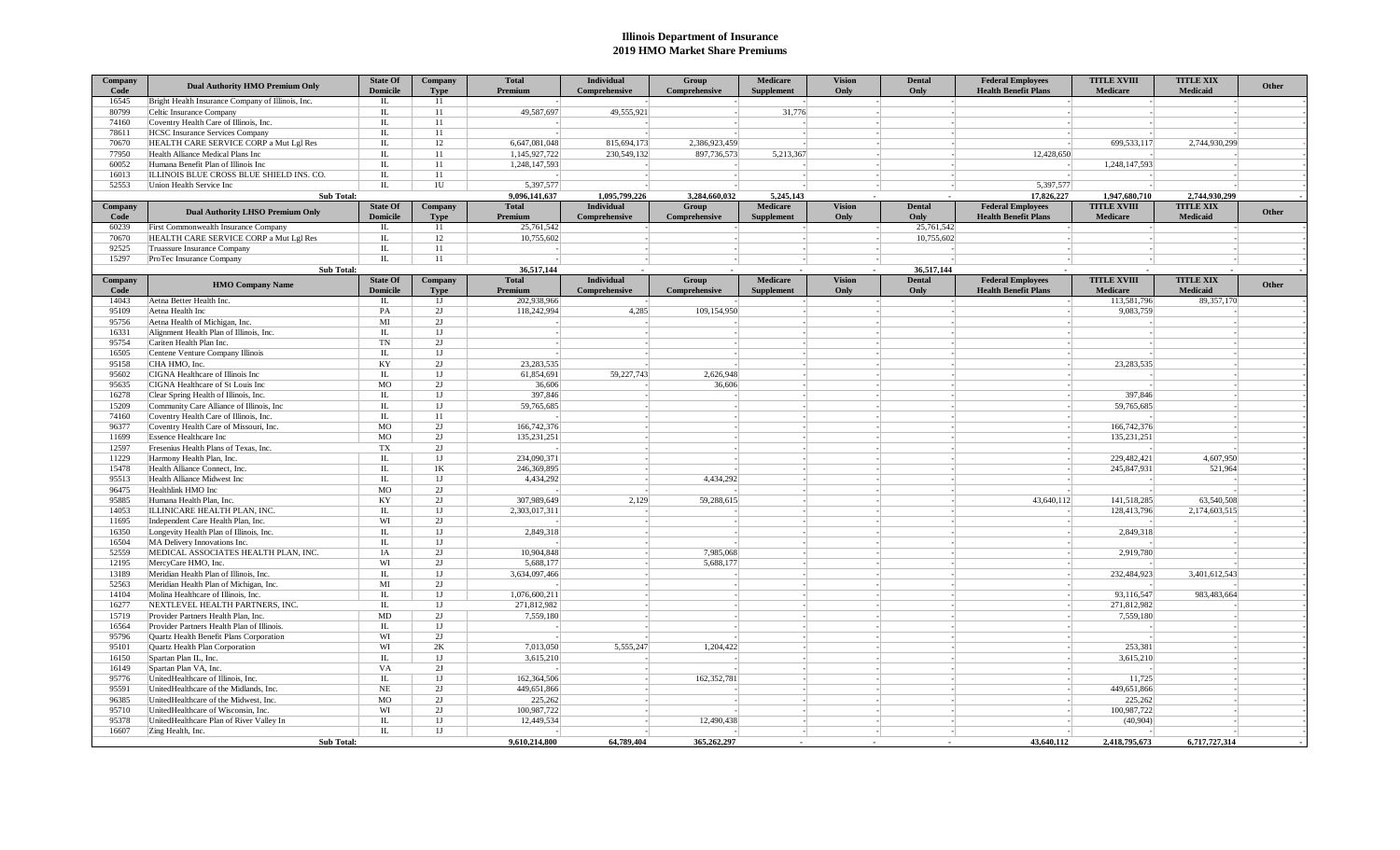## **Illinois Department of Insurance 2019 HMO Market Share Premiums**

| Company<br>Code | <b>Dual Authority HMO Premium Only</b>                        | <b>State Of</b><br><b>Domicile</b> | Company<br><b>Type</b> | <b>Total</b><br>Premium | <b>Individual</b><br>Comprehensive | Group<br>Comprehensive | <b>Medicare</b><br><b>Supplement</b> | <b>Vision</b><br>Only | <b>Dental</b><br>Only | <b>Federal Employees</b><br><b>Health Benefit Plans</b> | <b>TITLE XVIII</b><br>Medicare | <b>TITLE XIX</b><br>Medicaid | Other |
|-----------------|---------------------------------------------------------------|------------------------------------|------------------------|-------------------------|------------------------------------|------------------------|--------------------------------------|-----------------------|-----------------------|---------------------------------------------------------|--------------------------------|------------------------------|-------|
| 16545           | Bright Health Insurance Company of Illinois, Inc.             | IL.                                | 11                     |                         |                                    |                        |                                      |                       |                       |                                                         |                                |                              |       |
| 80799           | Celtic Insurance Company                                      | IL.                                | 11                     | 49,587,697              | 49,555,921                         |                        | 31,776                               |                       |                       |                                                         |                                |                              |       |
| 74160           | Coventry Health Care of Illinois, Inc.                        | IL                                 | 11                     |                         |                                    |                        |                                      |                       |                       |                                                         |                                |                              |       |
| 78611           | HCSC Insurance Services Company                               | IL                                 | 11                     |                         |                                    |                        |                                      |                       |                       |                                                         |                                |                              |       |
| 70670           | HEALTH CARE SERVICE CORP a Mut Lgl Res                        | IL.                                | 12                     | 6,647,081,048           | 815,694,173                        | 2.386.923.459          |                                      |                       |                       |                                                         | 699.533.117                    | 2,744,930,299                |       |
| 77950           | Health Alliance Medical Plans Inc                             | IL                                 | 11                     | 1,145,927,722           | 230,549,132                        | 897,736,573            | 5,213,367                            |                       |                       | 12,428,650                                              |                                |                              |       |
| 60052           | Humana Benefit Plan of Illinois Inc                           | IL                                 | 11                     | 1,248,147,593           |                                    |                        |                                      |                       |                       |                                                         | 1,248,147,593                  |                              |       |
| 16013           | ILLINOIS BLUE CROSS BLUE SHIELD INS. CO.                      | IL.                                | 11                     |                         |                                    |                        |                                      |                       |                       |                                                         |                                |                              |       |
| 52553           | Union Health Service Inc                                      | $\rm IL$                           | 1U                     | 5.397.577               |                                    |                        |                                      |                       |                       | 5,397,577                                               |                                |                              |       |
|                 | <b>Sub Total:</b>                                             |                                    |                        | 9,096,141,637           | 1,095,799,226                      | 3.284.660.032          | 5,245,143                            |                       |                       | 17,826,227                                              | 1,947,680,710                  | 2,744,930,299                |       |
| Company         | <b>Dual Authority LHSO Premium Only</b>                       | <b>State Of</b>                    | Company                | <b>Total</b>            | <b>Individual</b>                  | Group                  | <b>Medicare</b>                      | <b>Vision</b>         | <b>Dental</b>         | <b>Federal Employees</b>                                | <b>TITLE XVIII</b>             | <b>TITLE XIX</b>             | Other |
| Code            |                                                               | <b>Domicile</b>                    | <b>Type</b>            | Premium                 | Comprehensive                      | Comprehensive          | <b>Supplement</b>                    | Only                  | Only                  | <b>Health Benefit Plans</b>                             | Medicare                       | Medicaid                     |       |
| 60239           | First Commonwealth Insurance Company                          | IL.                                | 11                     | 25,761,542              |                                    |                        |                                      |                       | 25,761,542            |                                                         |                                |                              |       |
| 70670           | HEALTH CARE SERVICE CORP a Mut Lgl Res                        | IL.                                | 12                     | 10,755,602              |                                    |                        |                                      |                       | 10,755,602            |                                                         |                                |                              |       |
| 92525           | Truassure Insurance Company                                   | IL                                 | 11                     |                         |                                    |                        |                                      |                       |                       |                                                         |                                |                              |       |
| 15297           | ProTec Insurance Company                                      | IL                                 | 11                     |                         |                                    |                        |                                      |                       |                       |                                                         |                                |                              |       |
|                 | Sub Total:                                                    |                                    |                        | 36,517,144              |                                    |                        |                                      |                       | 36,517,144            |                                                         |                                |                              |       |
| Company         | <b>HMO Company Name</b>                                       | <b>State Of</b>                    | Company                | <b>Total</b>            | Individual                         | Group                  | Medicare                             | <b>Vision</b>         | <b>Dental</b>         | <b>Federal Employees</b>                                | <b>TITLE XVIII</b>             | <b>TITLE XIX</b>             | Other |
| Code            |                                                               | <b>Domicile</b>                    | <b>Type</b>            | Premium                 | Comprehensive                      | Comprehensive          | <b>Supplement</b>                    | Only                  | Only                  | <b>Health Benefit Plans</b>                             | Medicare                       | Medicaid                     |       |
| 14043           | Aetna Better Health Inc.                                      | IL.                                | 1J                     | 202.938.966             |                                    |                        |                                      |                       |                       |                                                         | 113,581,796                    | 89,357,170                   |       |
| 95109           | Aetna Health Inc                                              | PA                                 | 2J                     | 118,242,994             | 4,285                              | 109,154,950            |                                      |                       |                       |                                                         | 9,083,759                      |                              |       |
| 95756           | Aetna Health of Michigan, Inc.                                | MI                                 | 2I                     |                         |                                    |                        |                                      |                       |                       |                                                         |                                |                              |       |
| 16331           | Alignment Health Plan of Illinois, Inc.                       | IL.                                | 1 <sub>J</sub>         |                         |                                    |                        |                                      |                       |                       |                                                         |                                |                              |       |
| 95754           | Cariten Health Plan Inc.                                      | TN                                 | 2J                     |                         |                                    |                        |                                      |                       |                       |                                                         |                                |                              |       |
| 16505           | Centene Venture Company Illinois                              | IL                                 | 1 <sub>J</sub>         |                         |                                    |                        |                                      |                       |                       |                                                         |                                |                              |       |
| 95158           | CHA HMO. Inc.                                                 | KY                                 | 2J                     | 23.283.535              |                                    |                        |                                      |                       |                       |                                                         | 23.283.535                     |                              |       |
| 95602           | CIGNA Healthcare of Illinois Inc                              | IL                                 | 1J                     | 61,854,691              | 59,227,743                         | 2,626,948              |                                      |                       |                       |                                                         |                                |                              |       |
| 95635           | CIGNA Healthcare of St Louis Inc                              | <b>MO</b>                          | 2I                     | 36,606                  |                                    | 36,606                 |                                      |                       |                       |                                                         |                                |                              |       |
| 16278           | Clear Spring Health of Illinois, Inc.                         | IL.                                | 1J                     | 397,846                 |                                    |                        |                                      |                       |                       |                                                         | 397,846                        |                              |       |
| 15209           | Community Care Alliance of Illinois, Inc.                     | ${\rm IL}$                         | 1J                     | 59,765,685              |                                    |                        |                                      |                       |                       |                                                         | 59,765,685                     |                              |       |
| 74160           | Coventry Health Care of Illinois, Inc.                        | IL                                 | 11                     |                         |                                    |                        |                                      |                       |                       |                                                         |                                |                              |       |
| 96377           | Coventry Health Care of Missouri, Inc.                        | <b>MO</b>                          | 2J                     | 166,742,376             |                                    |                        |                                      |                       |                       |                                                         | 166,742,376                    |                              |       |
| 11699           | <b>Essence Healthcare Inc</b>                                 | MO                                 | 2J                     | 135,231,251             |                                    |                        |                                      |                       |                       |                                                         | 135,231,251                    |                              |       |
| 12597           | Fresenius Health Plans of Texas, Inc.                         | TX                                 | 2I                     |                         |                                    |                        |                                      |                       |                       |                                                         |                                |                              |       |
| 11229           | Harmony Health Plan, Inc.                                     | IL.                                | 1J                     | 234,090,371             |                                    |                        |                                      |                       |                       |                                                         | 229,482,421                    | 4,607,950                    |       |
| 15478           | Health Alliance Connect, Inc.                                 | ${\rm IL}$                         | 1K                     | 246,369,895             |                                    |                        |                                      |                       |                       |                                                         | 245,847,931                    | 521,964                      |       |
| 95513           | Health Alliance Midwest Inc                                   | IL                                 | 1J                     | 4.434.292               |                                    | 4.434.292              |                                      |                       |                       |                                                         |                                |                              |       |
| 96475           | Healthlink HMO Inc                                            | <b>MO</b>                          | 2I                     |                         |                                    |                        |                                      |                       |                       |                                                         |                                |                              |       |
| 95885           | Humana Health Plan, Inc.                                      | KY                                 | 2J                     | 307,989,649             | 2,129                              | 59,288,615             |                                      |                       |                       | 43,640,112                                              | 141,518,285                    | 63,540,508                   |       |
| 14053           | ILLINICARE HEALTH PLAN, INC.                                  | IL                                 | 1 <sub>J</sub>         | 2,303,017,311           |                                    |                        |                                      |                       |                       |                                                         | 128,413,796                    | 2,174,603,515                |       |
| 11695           | Independent Care Health Plan, Inc.                            | WI                                 | 2J                     |                         |                                    |                        |                                      |                       |                       |                                                         |                                |                              |       |
| 16350           | Longevity Health Plan of Illinois, Inc.                       | $\overline{\mathbf{L}}$            | 1J                     | 2,849,318               |                                    |                        |                                      |                       |                       |                                                         | 2,849,318                      |                              |       |
| 16504           | MA Delivery Innovations Inc.                                  | IL                                 | 1J                     |                         |                                    |                        |                                      |                       |                       |                                                         |                                |                              |       |
| 52559           | MEDICAL ASSOCIATES HEALTH PLAN, INC.                          | IA                                 | 2I                     | 10,904,848              |                                    | 7,985,068              |                                      |                       |                       |                                                         | 2,919,780                      |                              |       |
| 12195           | MercyCare HMO, Inc.                                           | WI                                 | 2J                     | 5,688,177               |                                    | 5,688,177              |                                      |                       |                       |                                                         |                                |                              |       |
| 13189           | Meridian Health Plan of Illinois, Inc.                        | IL<br>MI                           | 1J<br>2J               | 3,634,097,466           |                                    |                        |                                      |                       |                       |                                                         | 232,484,923                    | 3,401,612,543                |       |
| 52563           | Meridian Health Plan of Michigan, Inc.                        |                                    |                        |                         |                                    |                        |                                      |                       |                       |                                                         |                                |                              |       |
| 14104           | Molina Healthcare of Illinois, Inc.                           | IL                                 | 1J                     | 1,076,600,211           |                                    |                        |                                      |                       |                       |                                                         | 93,116,547                     | 983,483,664                  |       |
| 16277           | NEXTLEVEL HEALTH PARTNERS, INC.                               | IL<br>MD                           | 1J<br>2J               | 271,812,982             |                                    |                        |                                      |                       |                       |                                                         | 271,812,982<br>7,559,180       |                              |       |
| 15719           | Provider Partners Health Plan, Inc.                           |                                    |                        | 7,559,180               |                                    |                        |                                      |                       |                       |                                                         |                                |                              |       |
| 16564           | Provider Partners Health Plan of Illinois.                    | IL                                 | 1J                     |                         |                                    |                        |                                      |                       |                       |                                                         |                                |                              |       |
| 95796           | Quartz Health Benefit Plans Corporation                       | WI                                 | 2J                     |                         |                                    |                        |                                      |                       |                       |                                                         |                                |                              |       |
| 95101           | Quartz Health Plan Corporation                                | WI                                 | 2K                     | 7,013,050<br>3,615,210  | 5.555.247                          | 1,204,422              |                                      |                       |                       |                                                         | 253,381                        |                              |       |
| 16150           | Spartan Plan IL, Inc.                                         | IL.                                | 1J                     |                         |                                    |                        |                                      |                       |                       |                                                         | 3,615,210                      |                              |       |
| 16149           | Spartan Plan VA, Inc.                                         | VA                                 | 2J                     |                         |                                    |                        |                                      |                       |                       |                                                         |                                |                              |       |
| 95776           | UnitedHealthcare of Illinois, Inc.                            | IL                                 | 1J                     | 162,364,506             |                                    | 162,352,781            |                                      |                       |                       |                                                         | 11,725                         |                              |       |
| 95591           | UnitedHealthcare of the Midlands, Inc.                        | $\rm NE$                           | 2J                     | 449,651,866             |                                    |                        |                                      |                       |                       |                                                         | 449,651,866                    |                              |       |
| 96385           | UnitedHealthcare of the Midwest, Inc.                         | <b>MO</b><br>WI                    | 2J<br>2J               | 225,262                 |                                    |                        |                                      |                       |                       |                                                         | 225,262                        |                              |       |
| 95710           | UnitedHealthcare of Wisconsin, Inc.                           |                                    |                        | 100,987,722             |                                    |                        |                                      |                       |                       |                                                         | 100,987,722                    |                              |       |
| 95378<br>16607  | UnitedHealthcare Plan of River Valley In<br>Zing Health, Inc. | IL<br>IL.                          | 1J<br>1J               | 12,449,534              |                                    | 12,490,438             |                                      |                       |                       |                                                         | (40, 904)                      |                              |       |
|                 | <b>Sub Total:</b>                                             |                                    |                        | 9.610.214.800           | 64,789,404                         | 365,262,297            |                                      |                       |                       | 43,640,112                                              |                                | 6,717,727,314                |       |
|                 |                                                               |                                    |                        |                         |                                    |                        | $\blacksquare$                       | $\sim$                |                       |                                                         | 2,418,795,673                  |                              |       |